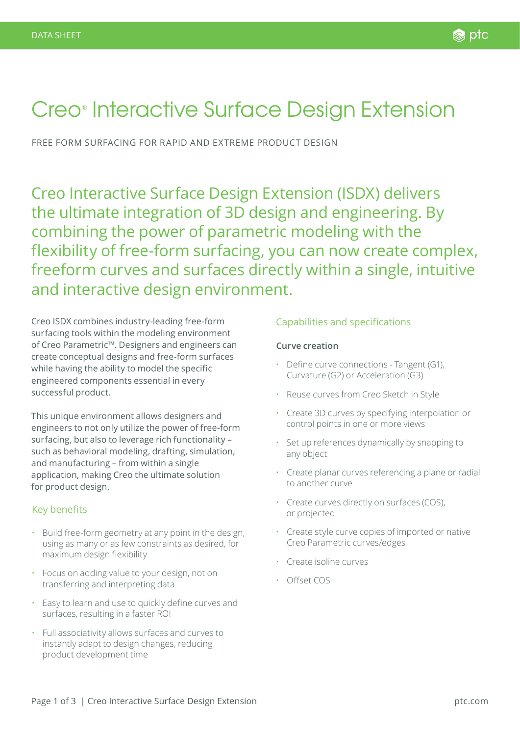# Creo® Interactive Surface Design Extension

FREE FORM SURFACING FOR RAPID AND EXTREME PRODUCT DESIGN

Creo Interactive Surface Design Extension (ISDX) delivers the ultimate integration of 3D design and engineering. By combining the power of parametric modeling with the flexibility of free-form surfacing, you can now create complex, freeform curves and surfaces directly within a single, intuitive and interactive design environment.

Creo ISDX combines industry-leading free-form surfacing tools within the modeling environment of Creo Parametric™. Designers and engineers can create conceptual designs and free-form surfaces while having the ability to model the specific engineered components essential in every successful product.

This unique environment allows designers and engineers to not only utilize the power of free-form surfacing, but also to leverage rich functionality – such as behavioral modeling, drafting, simulation, and manufacturing – from within a single application, making Creo the ultimate solution for product design.

## Key benefits

- Build free-form geometry at any point in the design, using as many or as few constraints as desired, for maximum design flexibility
- Focus on adding value to your design, not on transferring and interpreting data
- Easy to learn and use to quickly define curves and surfaces, resulting in a faster ROI
- Full associativity allows surfaces and curves to instantly adapt to design changes, reducing product development time

#### Capabilities and specifications

#### **Curve creation**

- Define curve connections Tangent (G1), Curvature (G2) or Acceleration (G3)
- Reuse curves from Creo Sketch in Style
- Create 3D curves by specifying interpolation or control points in one or more views
- Set up references dynamically by snapping to any object
- Create planar curves referencing a plane or radial to another curve
- Create curves directly on surfaces (COS), or projected
- Create style curve copies of imported or native Creo Parametric curves/edges
- Create isoline curves
- Offset COS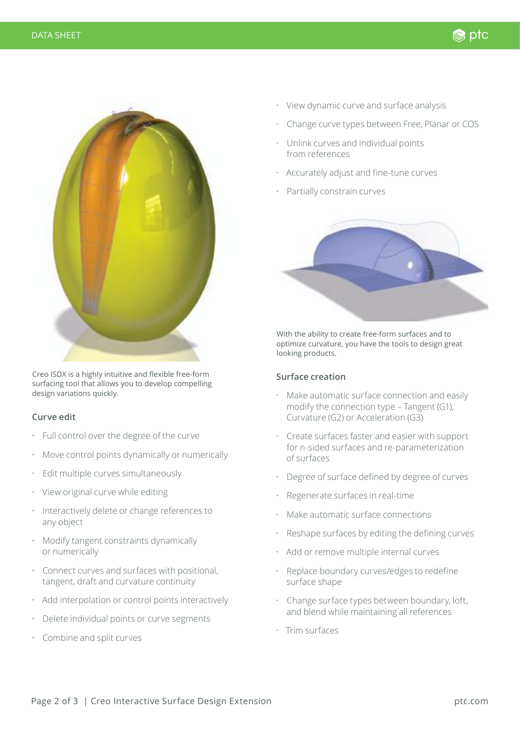

Creo ISDX is a highly intuitive and flexible free-form surfacing tool that allows you to develop compelling design variations quickly.

### **Curve edit**

- Full control over the degree of the curve
- Move control points dynamically or numerically
- Edit multiple curves simultaneously
- View original curve while editing
- Interactively delete or change references to any object
- Modify tangent constraints dynamically or numerically
- Connect curves and surfaces with positional, tangent, draft and curvature continuity
- Add interpolation or control points interactively
- Delete individual points or curve segments
- Combine and split curves
- View dynamic curve and surface analysis
- Change curve types between Free, Planar or COS

ks ptc

- Unlink curves and individual points from references
- Accurately adjust and fine-tune curves
- Partially constrain curves



With the ability to create free-form surfaces and to optimize curvature, you have the tools to design great looking products.

### **Surface creation**

- Make automatic surface connection and easily modify the connection type – Tangent (G1), Curvature (G2) or Acceleration (G3)
- Create surfaces faster and easier with support for n-sided surfaces and re-parameterization of surfaces
- Degree of surface defined by degree of curves
- Regenerate surfaces in real-time
- Make automatic surface connections
- Reshape surfaces by editing the defining curves
- Add or remove multiple internal curves
- Replace boundary curves/edges to redefine surface shape
- Change surface types between boundary, loft, and blend while maintaining all references
- Trim surfaces